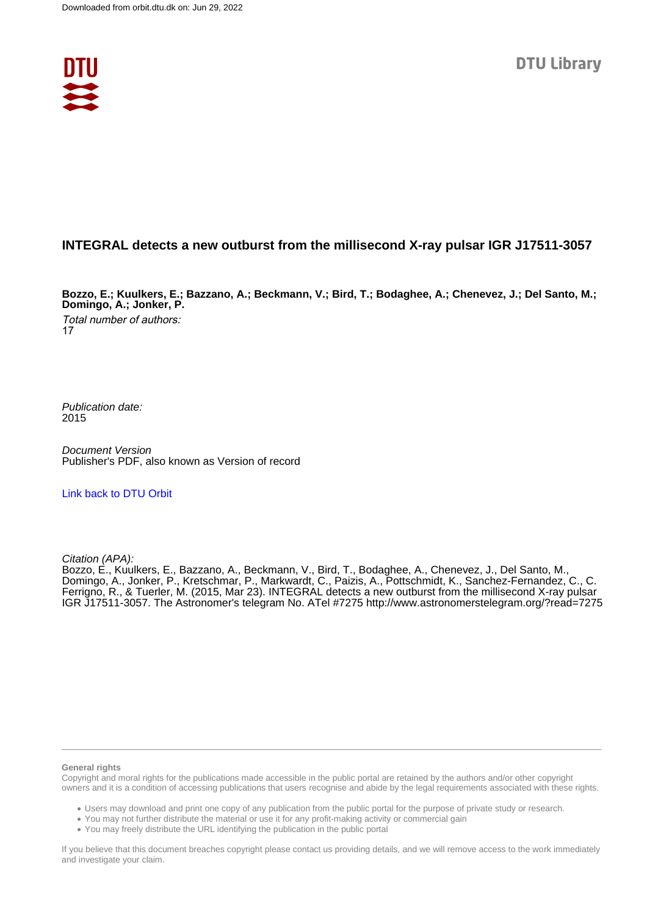

### **INTEGRAL detects a new outburst from the millisecond X-ray pulsar IGR J17511-3057**

**Bozzo, E.; Kuulkers, E.; Bazzano, A.; Beckmann, V.; Bird, T.; Bodaghee, A.; Chenevez, J.; Del Santo, M.; Domingo, A.; Jonker, P.**

Total number of authors: 17

Publication date: 2015

Document Version Publisher's PDF, also known as Version of record

#### [Link back to DTU Orbit](https://orbit.dtu.dk/en/publications/b311ce95-5b04-4d13-b5ac-f57126c2517b)

Citation (APA):

Bozzo, E., Kuulkers, E., Bazzano, A., Beckmann, V., Bird, T., Bodaghee, A., Chenevez, J., Del Santo, M., Domingo, A., Jonker, P., Kretschmar, P., Markwardt, C., Paizis, A., Pottschmidt, K., Sanchez-Fernandez, C., C. Ferrigno, R., & Tuerler, M. (2015, Mar 23). INTEGRAL detects a new outburst from the millisecond X-ray pulsar IGR J17511-3057. The Astronomer's telegram No. ATel #7275 <http://www.astronomerstelegram.org/?read=7275>

#### **General rights**

Copyright and moral rights for the publications made accessible in the public portal are retained by the authors and/or other copyright owners and it is a condition of accessing publications that users recognise and abide by the legal requirements associated with these rights.

Users may download and print one copy of any publication from the public portal for the purpose of private study or research.

- You may not further distribute the material or use it for any profit-making activity or commercial gain
- You may freely distribute the URL identifying the publication in the public portal

If you believe that this document breaches copyright please contact us providing details, and we will remove access to the work immediately and investigate your claim.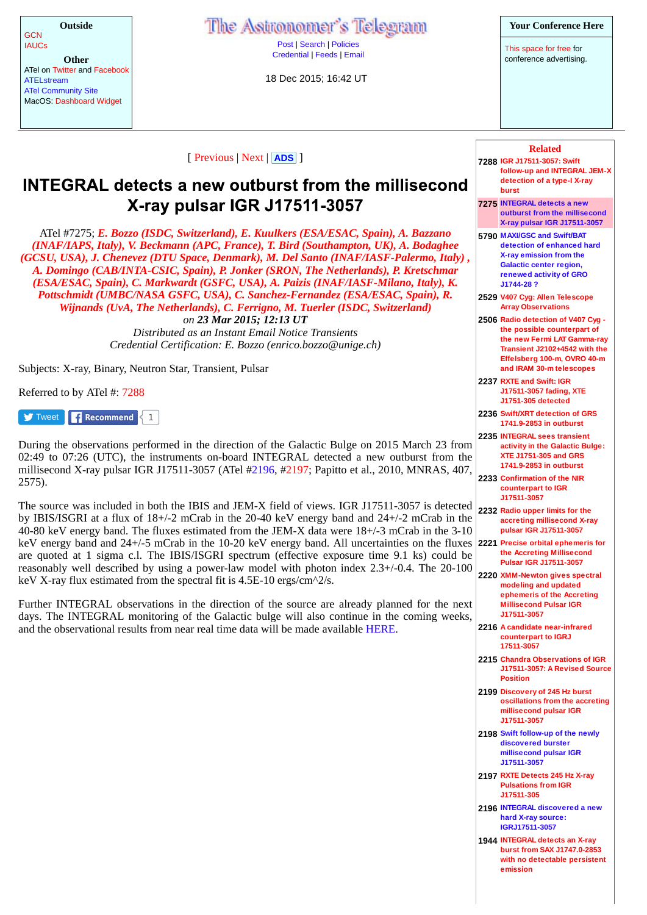| Outside                      |
|------------------------------|
| GCN<br>IAUCs                 |
|                              |
| Other                        |
| ATel on Twitter and Facebook |
| ATELstream                   |
| ATal Community City          |

ATel Community Site MacOS: Dashboard Widget The Astronomer's Telegram

Post | Search | Policies Credential | Feeds | Email

18 Dec 2015; 16:42 UT

This space for free for conference advertising.

| [ Previous   Next   ADS ] |  |  |
|---------------------------|--|--|
|                           |  |  |

# **INTEGRAL detects a new outburst from the millisecond** X-ray pulsar IGR J17511-3057

ATel #7275; *E. Bozzo (ISDC, Switzerland), E. Kuulkers (ESA/ESAC, Spain), A. Bazzano (INAF/IAPS, Italy), V. Beckmann (APC, France), T. Bird (Southampton, UK), A. Bodaghee (GCSU, USA), J. Chenevez (DTU Space, Denmark), M. Del Santo (INAF/IASF-Palermo, Italy) , A. Domingo (CAB/INTA-CSIC, Spain), P. Jonker (SRON, The Netherlands), P. Kretschmar (ESA/ESAC, Spain), C. Markwardt (GSFC, USA), A. Paizis (INAF/IASF-Milano, Italy), K. Pottschmidt (UMBC/NASA GSFC, USA), C. Sanchez-Fernandez (ESA/ESAC, Spain), R. Wijnands (UvA, The Netherlands), C. Ferrigno, M. Tuerler (ISDC, Switzerland) on 23 Mar 2015; 12:13 UT*

*Distributed as an Instant Email Notice Transients Credential Certification: E. Bozzo (enrico.bozzo@unige.ch)*

Subjects: X-ray, Binary, Neutron Star, Transient, Pulsar

Referred to by ATel #: 7288

Tweet **Recommend** 1

During the observations performed in the direction of the Galactic Bulge on 2015 March 23 from 02:49 to 07:26 (UTC), the instruments on-board INTEGRAL detected a new outburst from the millisecond X-ray pulsar IGR J17511-3057 (ATel #2196, #2197; Papitto et al., 2010, MNRAS, 407, 2575).

The source was included in both the IBIS and JEM-X field of views. IGR J17511-3057 is detected by IBIS/ISGRI at a flux of 18+/-2 mCrab in the 20-40 keV energy band and 24+/-2 mCrab in the 40-80 keV energy band. The fluxes estimated from the JEM-X data were 18+/-3 mCrab in the 3-10 keV energy band and 24+/-5 mCrab in the 10-20 keV energy band. All uncertainties on the fluxes are quoted at 1 sigma c.l. The IBIS/ISGRI spectrum (effective exposure time 9.1 ks) could be reasonably well described by using a power-law model with photon index 2.3+/-0.4. The 20-100 keV X-ray flux estimated from the spectral fit is 4.5E-10 ergs/cm^2/s.

Further INTEGRAL observations in the direction of the source are already planned for the next days. The INTEGRAL monitoring of the Galactic bulge will also continue in the coming weeks, and the observational results from near real time data will be made available HERE.

| <b>Related</b>                                                                             |
|--------------------------------------------------------------------------------------------|
| 7288 IGR J17511-3057: Swift<br>follow-up and INTEGRAL JEM-X<br>detection of a type-I X-ray |
| burst                                                                                      |
| 7275 INTEGRAL detects a new<br>outburst from the millisecond                               |
| X-ray pulsar IGR J17511-3057                                                               |
| 5790 MAXI/GSC and Swift/BAT<br>detection of enhanced hard                                  |
| X-ray emission from the                                                                    |
| Galactic center region,<br>renewed activity of GRO                                         |
| J1744-28?                                                                                  |
| 2529 V407 Cyg: Allen Telescope<br><b>Array Observations</b>                                |
| 2506 Radio detection of V407 Cyg -<br>the possible counterpart of                          |
| the new Fermi LAT Gamma-ray                                                                |
| Transient J2102+4542 with the<br>Effelsberg 100-m, OVRO 40-m                               |
| and IRAM 30-m telescopes                                                                   |
| 2237 RXTE and Swift: IGR<br>J17511-3057 fading, XTE                                        |
| J1751-305 detected                                                                         |
| 2236 Swift/XRT detection of GRS<br>1741.9-2853 in outburst                                 |
| 2235 INTEGRAL sees transient<br>activity in the Galactic Bulge:                            |
| <b>XTE J1751-305 and GRS</b>                                                               |
| 1741.9-2853 in outburst<br>2233 Confirmation of the NIR                                    |
| counterpart to IGR                                                                         |
| J17511-3057                                                                                |
| 2232 Radio upper limits for the<br>accreting millisecond X-ray                             |
| pulsar IGR J17511-3057                                                                     |
| 2221 Precise orbital ephemeris for<br>the Accreting Millisecond                            |
| <b>Pulsar IGR J17511-3057</b>                                                              |
| 2220 XMM-Newton gives spectral<br>modeling and updated                                     |
| ephemeris of the Accreting<br><b>Millisecond Pulsar IGR</b>                                |
| J17511-3057                                                                                |
| 2216 A candidate near-infrared<br>counterpart to IGRJ                                      |
| 17511-3057                                                                                 |
| 2215 Chandra Observations of IGR<br>J17511-3057: A Revised Source                          |
| <b>Position</b>                                                                            |
| 2199 Discovery of 245 Hz burst<br>oscillations from the accreting                          |
| millisecond pulsar IGR                                                                     |
| J17511-3057                                                                                |
| 2198 Swift follow-up of the newly<br>discovered burster                                    |
| millisecond pulsar IGR<br>J17511-3057                                                      |
| 2197 RXTE Detects 245 Hz X-ray                                                             |
| <b>Pulsations from IGR</b><br>J17511-305                                                   |
| 2196 INTEGRAL discovered a new                                                             |
| hard X-ray source:                                                                         |
| IGRJ17511-3057<br>1944 INTEGRAL detects an X-ray                                           |
| burst from SAX J1747.0-2853                                                                |
| with no detectable persistent<br>emission                                                  |
|                                                                                            |